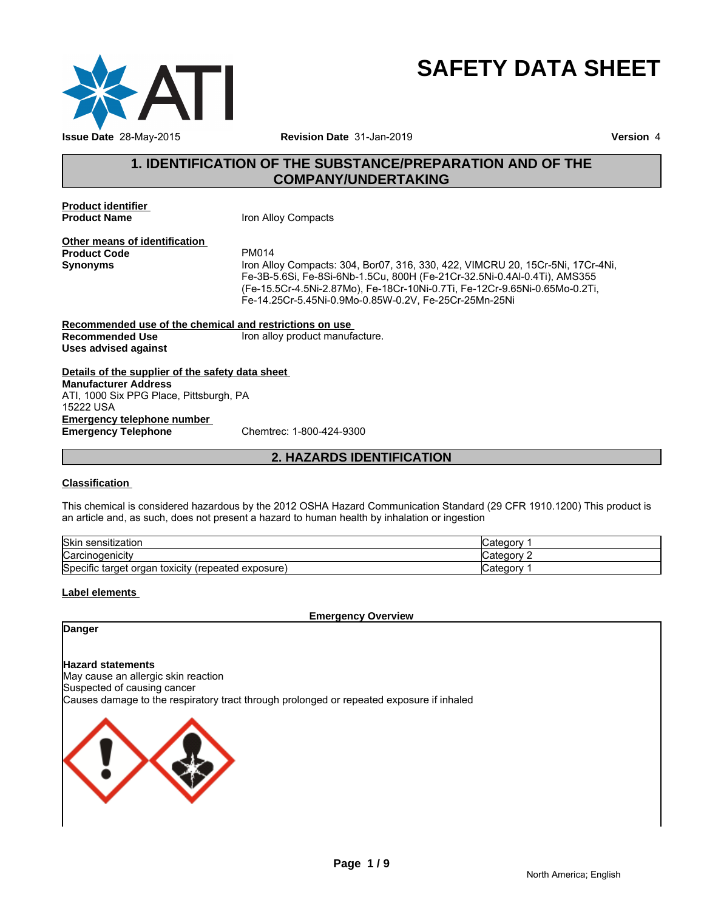

# **SAFETY DATA SHEET**

# **1. IDENTIFICATION OF THE SUBSTANCE/PREPARATION AND OF THE COMPANY/UNDERTAKING**

**Product identifier** 

**Iron Alloy Compacts** 

**Other means of identification**<br>**Product Code** PM014 **Product Code**<br>Synonyms

**Synonyms** Iron Alloy Compacts: 304, Bor07, 316, 330, 422, VIMCRU 20, 15Cr-5Ni, 17Cr-4Ni, Fe-3B-5.6Si, Fe-8Si-6Nb-1.5Cu, 800H (Fe-21Cr-32.5Ni-0.4Al-0.4Ti), AMS355 (Fe-15.5Cr-4.5Ni-2.87Mo), Fe-18Cr-10Ni-0.7Ti, Fe-12Cr-9.65Ni-0.65Mo-0.2Ti, Fe-14.25Cr-5.45Ni-0.9Mo-0.85W-0.2V, Fe-25Cr-25Mn-25Ni

**Recommended use of the chemical and restrictions on use Recommended Use The Iron alloy product manufacture. Uses advised against**

**Details of the supplier of the safety data sheet Emergency telephone number Emergency Telephone** Chemtrec: 1-800-424-9300 **Manufacturer Address** ATI, 1000 Six PPG Place, Pittsburgh, PA 15222 USA

**2. HAZARDS IDENTIFICATION**

# **Classification**

This chemical is considered hazardous by the 2012 OSHA Hazard Communication Standard (29 CFR 1910.1200) This product is an article and, as such, does not present a hazard to human health by inhalation or ingestion

| <b>Skin</b><br>.<br>⊧sensitization                                 | ∵ ategorvد.        |
|--------------------------------------------------------------------|--------------------|
| Carcinogenicity                                                    | ategory.<br>odlet" |
| Specific<br>toxicity<br>organ<br>exposure)<br>∶tarɑet<br>(repeated | ∵ateɑorv.          |

### **Label elements**

**Emergency Overview**

# **Danger**

**Hazard statements** May cause an allergic skin reaction

Suspected of causing cancer

Causes damage to the respiratory tract through prolonged or repeated exposure if inhaled

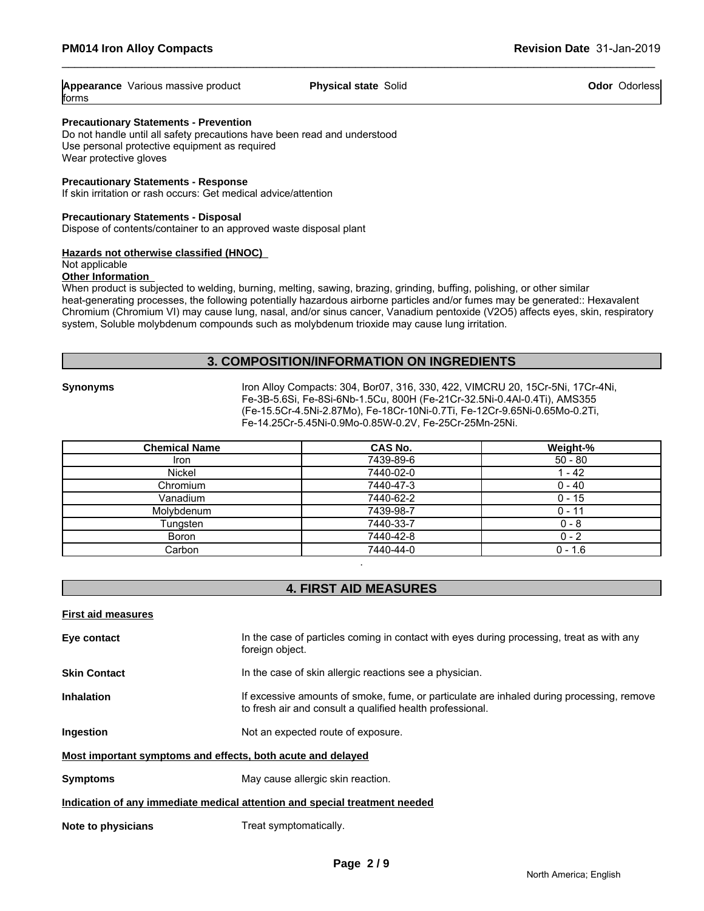| Appearance<br>√arıous massıve product | $\cdots$<br>Solid<br>Phvsical state | Jdorless<br>Odor |
|---------------------------------------|-------------------------------------|------------------|
| lforms                                |                                     |                  |

### **Precautionary Statements - Prevention**

Do not handle until all safety precautions have been read and understood Use personal protective equipment as required Wear protective gloves

### **Precautionary Statements - Response**

If skin irritation or rash occurs: Get medical advice/attention

### **Precautionary Statements - Disposal**

Dispose of contents/container to an approved waste disposal plant

### **Hazards not otherwise classified (HNOC)**

Not applicable

### **Other Information**

When product is subjected to welding, burning, melting, sawing, brazing, grinding, buffing, polishing, or other similar heat-generating processes, the following potentially hazardous airborne particles and/or fumes may be generated:: Hexavalent Chromium (Chromium VI) may cause lung, nasal, and/or sinus cancer, Vanadium pentoxide (V2O5) affects eyes, skin, respiratory system, Soluble molybdenum compounds such as molybdenum trioxide may cause lung irritation.

### **3. COMPOSITION/INFORMATION ON INGREDIENTS**

**Synonyms** Iron Alloy Compacts: 304, Bor07, 316, 330, 422, VIMCRU 20, 15Cr-5Ni, 17Cr-4Ni, Fe-3B-5.6Si, Fe-8Si-6Nb-1.5Cu, 800H (Fe-21Cr-32.5Ni-0.4Al-0.4Ti), AMS355 (Fe-15.5Cr-4.5Ni-2.87Mo), Fe-18Cr-10Ni-0.7Ti, Fe-12Cr-9.65Ni-0.65Mo-0.2Ti, Fe-14.25Cr-5.45Ni-0.9Mo-0.85W-0.2V, Fe-25Cr-25Mn-25Ni.

| <b>Chemical Name</b> | <b>CAS No.</b> | Weight-%  |
|----------------------|----------------|-----------|
| <b>Iron</b>          | 7439-89-6      | $50 - 80$ |
| Nickel               | 7440-02-0      | $-42$     |
| Chromium             | 7440-47-3      | $0 - 40$  |
| Vanadium             | 7440-62-2      | $0 - 15$  |
| Molybdenum           | 7439-98-7      | $0 - 11$  |
| Tungsten             | 7440-33-7      | $0 - 8$   |
| Boron                | 7440-42-8      | $0 - 2$   |
| Carbon               | 7440-44-0      | $0 - 1.6$ |

# **4. FIRST AID MEASURES**

.

| <b>First aid measures</b>                                   |                                                                                                                                                        |
|-------------------------------------------------------------|--------------------------------------------------------------------------------------------------------------------------------------------------------|
| Eye contact                                                 | In the case of particles coming in contact with eyes during processing, treat as with any<br>foreign object.                                           |
| <b>Skin Contact</b>                                         | In the case of skin allergic reactions see a physician.                                                                                                |
| <b>Inhalation</b>                                           | If excessive amounts of smoke, fume, or particulate are inhaled during processing, remove<br>to fresh air and consult a qualified health professional. |
| Ingestion                                                   | Not an expected route of exposure.                                                                                                                     |
| Most important symptoms and effects, both acute and delayed |                                                                                                                                                        |
| <b>Symptoms</b>                                             | May cause allergic skin reaction.                                                                                                                      |
|                                                             | Indication of any immediate medical attention and special treatment needed                                                                             |
| Note to physicians                                          | Treat symptomatically.                                                                                                                                 |
|                                                             |                                                                                                                                                        |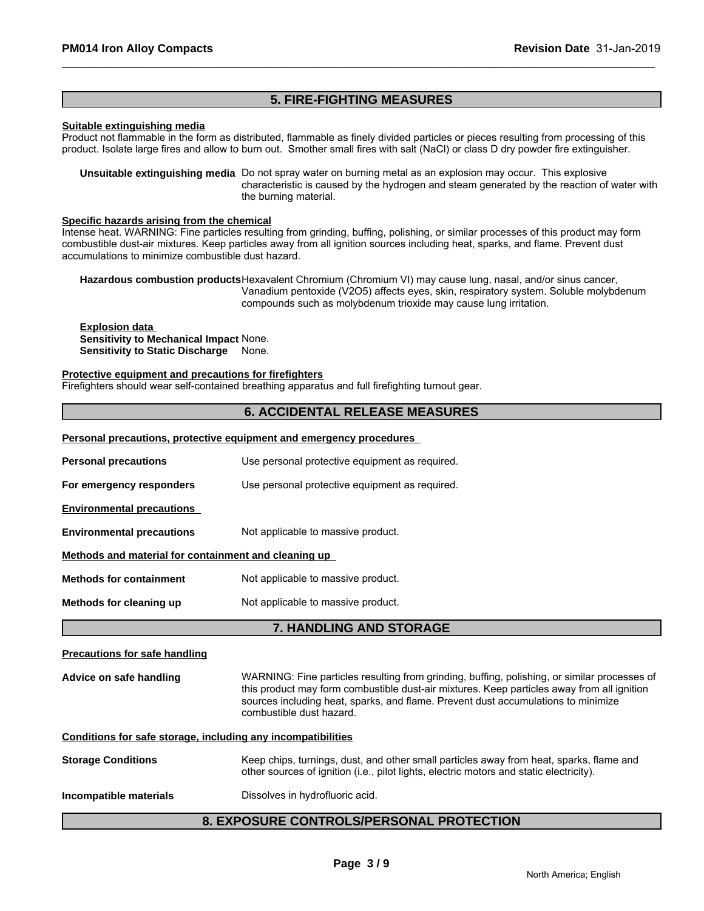# **5. FIRE-FIGHTING MEASURES**

### **Suitable extinguishing media**

Product not flammable in the form as distributed, flammable as finely divided particles or pieces resulting from processing of this product. Isolate large fires and allow to burn out. Smother small fires with salt (NaCl) or class D dry powder fire extinguisher.

**Unsuitable extinguishing media** Do not spray water on burning metal as an explosion may occur. This explosive characteristic is caused by the hydrogen and steam generated by the reaction of water with the burning material.

### **Specific hazards arising from the chemical**

Intense heat. WARNING: Fine particles resulting from grinding, buffing, polishing, or similar processes of this product may form combustible dust-air mixtures. Keep particles away from all ignition sources including heat, sparks, and flame. Prevent dust accumulations to minimize combustible dust hazard.

**Hazardous combustion products**Hexavalent Chromium (Chromium VI) may cause lung, nasal, and/or sinus cancer, Vanadium pentoxide (V2O5) affects eyes, skin, respiratory system. Soluble molybdenum compounds such as molybdenum trioxide may cause lung irritation.

**Explosion data Sensitivity to Mechanical Impact** None. **Sensitivity to Static Discharge** None.

### **Protective equipment and precautions for firefighters**

Firefighters should wear self-contained breathing apparatus and full firefighting turnout gear.

# **6. ACCIDENTAL RELEASE MEASURES**

### **Personal precautions, protective equipment and emergency procedures**

|                                                      | <b>7. HANDLING AND STORAGE</b>                 |
|------------------------------------------------------|------------------------------------------------|
| Methods for cleaning up                              | Not applicable to massive product.             |
| <b>Methods for containment</b>                       | Not applicable to massive product.             |
| Methods and material for containment and cleaning up |                                                |
| <b>Environmental precautions</b>                     | Not applicable to massive product.             |
| <b>Environmental precautions</b>                     |                                                |
| For emergency responders                             | Use personal protective equipment as required. |
| <b>Personal precautions</b>                          | Use personal protective equipment as required. |
|                                                      |                                                |

### **Precautions for safe handling**

**Advice on safe handling** WARNING: Fine particles resulting from grinding, buffing, polishing, or similar processes of this product may form combustible dust-air mixtures. Keep particles away from all ignition sources including heat, sparks, and flame. Prevent dust accumulations to minimize combustible dust hazard.

### **Conditions for safe storage, including any incompatibilities**

| <b>Storage Conditions</b> | Keep chips, turnings, dust, and other small particles away from heat, sparks, flame and<br>other sources of ignition (i.e., pilot lights, electric motors and static electricity). |
|---------------------------|------------------------------------------------------------------------------------------------------------------------------------------------------------------------------------|
| Incompatible materials    | Dissolves in hydrofluoric acid.                                                                                                                                                    |

# **8. EXPOSURE CONTROLS/PERSONAL PROTECTION**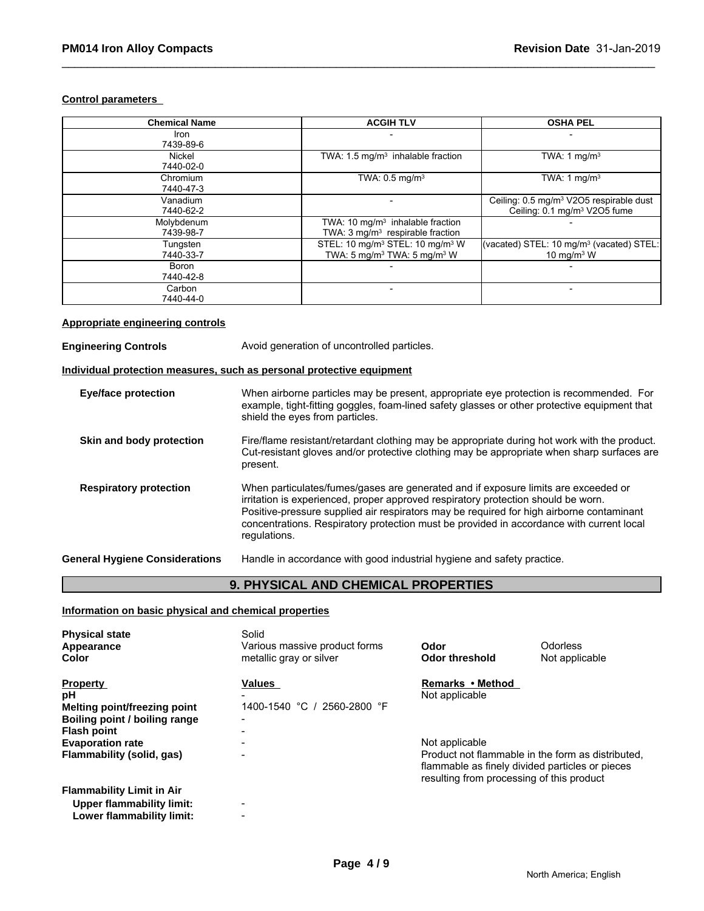# **Control parameters**

| <b>Chemical Name</b>     | <b>ACGIH TLV</b>                                                                                               | <b>OSHA PEL</b>                                                                                 |
|--------------------------|----------------------------------------------------------------------------------------------------------------|-------------------------------------------------------------------------------------------------|
| <b>Iron</b><br>7439-89-6 |                                                                                                                |                                                                                                 |
| Nickel<br>7440-02-0      | TWA: 1.5 mg/m <sup>3</sup> inhalable fraction                                                                  | TWA: 1 $mg/m3$                                                                                  |
| Chromium<br>7440-47-3    | TWA: $0.5 \text{ mg/m}^3$                                                                                      | TWA: 1 $mq/m3$                                                                                  |
| Vanadium<br>7440-62-2    |                                                                                                                | Ceiling: 0.5 mg/m <sup>3</sup> V2O5 respirable dust<br>Ceiling: 0.1 mg/m <sup>3</sup> V2O5 fume |
| Molybdenum<br>7439-98-7  | TWA: $10 \text{ mg/m}^3$ inhalable fraction<br>TWA: $3 \text{ mg/m}^3$ respirable fraction                     |                                                                                                 |
| Tungsten<br>7440-33-7    | STEL: 10 mg/m <sup>3</sup> STEL: 10 mg/m <sup>3</sup> W<br>TWA: 5 mg/m <sup>3</sup> TWA: 5 mg/m <sup>3</sup> W | (vacated) STEL: $10 \text{ mg/m}^3$ (vacated) STEL:<br>10 mg/m $3$ W                            |
| Boron<br>7440-42-8       |                                                                                                                |                                                                                                 |
| Carbon<br>7440-44-0      |                                                                                                                | $\overline{\phantom{0}}$                                                                        |

# **Appropriate engineering controls**

# **9. PHYSICAL AND CHEMICAL PROPERTIES**

### **Information on basic physical and chemical properties**

| <b>Physical state</b><br>Appearance<br>Color                                                                                                                         | Solid<br>Various massive product forms<br>metallic gray or silver  | Odor<br><b>Odor threshold</b>                                                                           | Odorless<br>Not applicable                        |
|----------------------------------------------------------------------------------------------------------------------------------------------------------------------|--------------------------------------------------------------------|---------------------------------------------------------------------------------------------------------|---------------------------------------------------|
| <b>Property</b><br>рH<br>Melting point/freezing point<br>Boiling point / boiling range<br><b>Flash point</b><br><b>Evaporation rate</b><br>Flammability (solid, gas) | Values<br>1400-1540<br>2560-2800 °F<br>$^{\circ}$ C<br>-<br>-<br>- | Remarks • Method<br>Not applicable<br>Not applicable<br>flammable as finely divided particles or pieces | Product not flammable in the form as distributed. |
| <b>Flammability Limit in Air</b><br><b>Upper flammability limit:</b><br>Lower flammability limit:                                                                    | $\overline{\phantom{0}}$                                           | resulting from processing of this product                                                               |                                                   |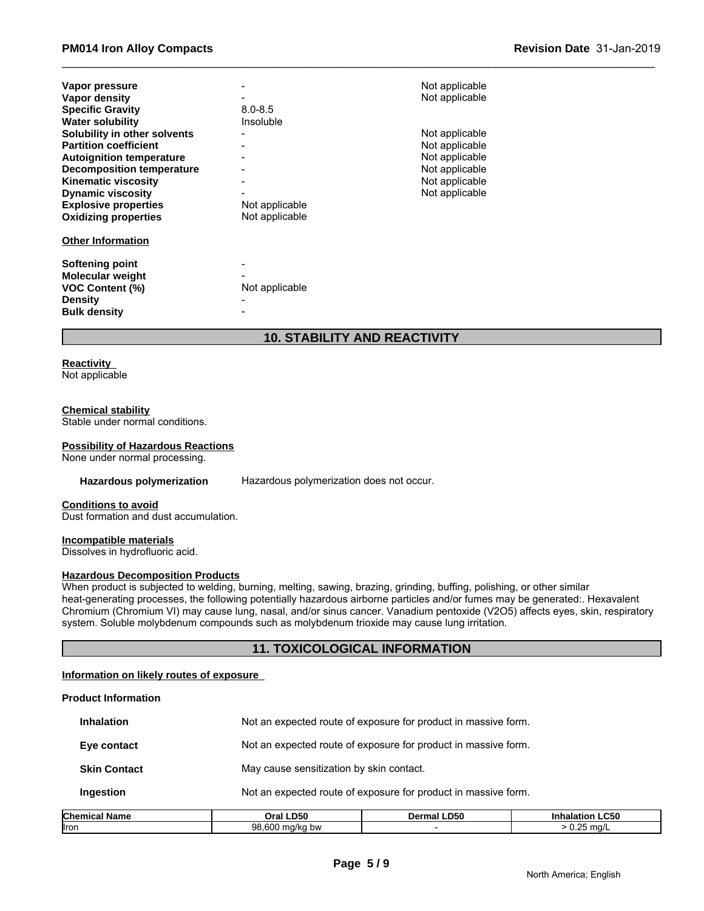| Vapor pressure<br>Vapor density<br><b>Specific Gravity</b> | $8.0 - 8.5$    | Not applicable<br>Not applicable |
|------------------------------------------------------------|----------------|----------------------------------|
| <b>Water solubility</b>                                    | Insoluble      |                                  |
| Solubility in other solvents                               |                | Not applicable                   |
| <b>Partition coefficient</b>                               |                | Not applicable                   |
| <b>Autoignition temperature</b>                            |                | Not applicable                   |
| <b>Decomposition temperature</b>                           |                | Not applicable                   |
| <b>Kinematic viscosity</b>                                 |                | Not applicable                   |
| <b>Dynamic viscosity</b>                                   |                | Not applicable                   |
| <b>Explosive properties</b>                                | Not applicable |                                  |
| <b>Oxidizing properties</b>                                | Not applicable |                                  |
| <b>Other Information</b>                                   |                |                                  |
| <b>Softening point</b>                                     |                |                                  |
| <b>Molecular weight</b>                                    |                |                                  |
| <b>VOC Content (%)</b>                                     | Not applicable |                                  |
| <b>Density</b>                                             |                |                                  |
| <b>Bulk density</b>                                        |                |                                  |

# **10. STABILITY AND REACTIVITY**

### **Reactivity**

Not applicable

### **Chemical stability**

Stable under normal conditions.

### **Possibility of Hazardous Reactions**

None under normal processing.

Hazardous polymerization Hazardous polymerization does not occur.

**Conditions to avoid** Dust formation and dust accumulation.

### **Incompatible materials**

Dissolves in hydrofluoric acid.

### **Hazardous Decomposition Products**

When product is subjected to welding, burning, melting, sawing, brazing, grinding, buffing, polishing, or other similar heat-generating processes, the following potentially hazardous airborne particles and/or fumes may be generated:. Hexavalent Chromium (Chromium VI) may cause lung, nasal, and/or sinus cancer. Vanadium pentoxide (V2O5) affects eyes, skin, respiratory system. Soluble molybdenum compounds such as molybdenum trioxide may cause lung irritation.

# **11. TOXICOLOGICAL INFORMATION**

### **Information on likely routes of exposure**

### **Product Information**

| <b>Inhalation</b>    | Not an expected route of exposure for product in massive form. |                                                                |               |  |  |
|----------------------|----------------------------------------------------------------|----------------------------------------------------------------|---------------|--|--|
| Eye contact          |                                                                | Not an expected route of exposure for product in massive form. |               |  |  |
| <b>Skin Contact</b>  |                                                                | May cause sensitization by skin contact.                       |               |  |  |
| Ingestion            | Not an expected route of exposure for product in massive form. |                                                                |               |  |  |
| <b>Chemical Name</b> | Oral LD50                                                      | <b>Inhalation LC50</b><br>Dermal LD50                          |               |  |  |
| llron                | 98,600 mg/kg bw                                                |                                                                | $> 0.25$ mg/L |  |  |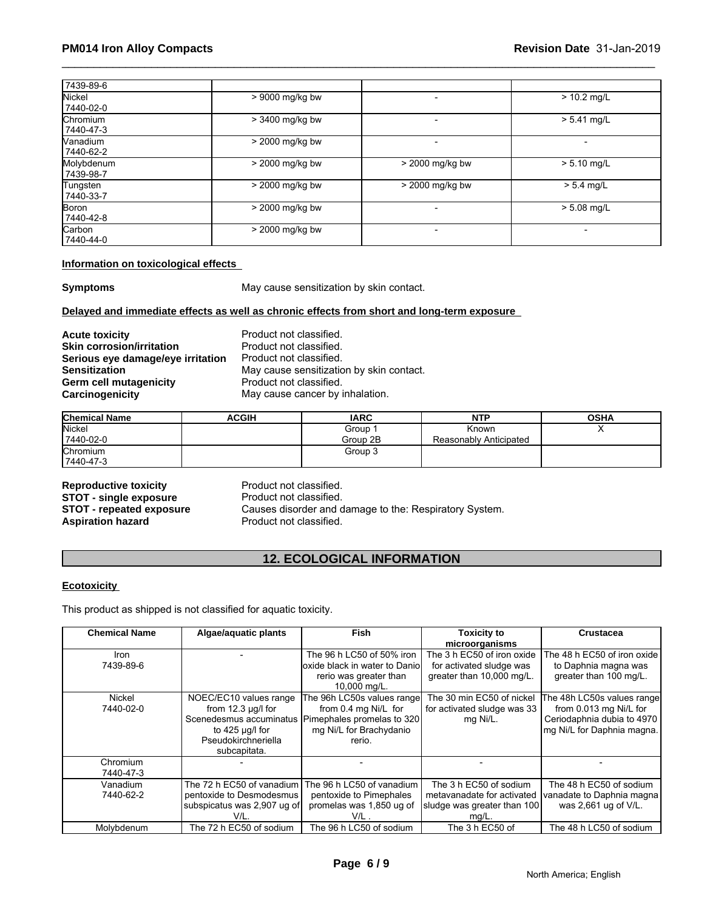| 7439-89-6                 |                   |                   |               |
|---------------------------|-------------------|-------------------|---------------|
| Nickel<br>7440-02-0       | > 9000 mg/kg bw   |                   | $> 10.2$ mg/L |
| Chromium<br>7440-47-3     | > 3400 mg/kg bw   |                   | $> 5.41$ mg/L |
| Vanadium<br>17440-62-2    | > 2000 mg/kg bw   | -                 |               |
| Molybdenum<br>  7439-98-7 | $>$ 2000 mg/kg bw | $>$ 2000 mg/kg bw | $> 5.10$ mg/L |
| Tungsten<br>  7440-33-7   | > 2000 mg/kg bw   | > 2000 mg/kg bw   | $> 5.4$ mg/L  |
| Boron<br>7440-42-8        | > 2000 mg/kg bw   |                   | $> 5.08$ mg/L |
| Carbon<br>7440-44-0       | $>$ 2000 mg/kg bw | -                 | -             |

### **Information on toxicological effects**

**Symptoms** May cause sensitization by skin contact.

### **Delayed and immediate effects as well as chronic effects from short and long-term exposure**

| <b>Acute toxicity</b>             |  |
|-----------------------------------|--|
| <b>Skin corrosion/irritation</b>  |  |
| Serious eye damage/eye irritation |  |
| <b>Sensitization</b>              |  |
| Germ cell mutagenicity            |  |
| Carcinogenicity                   |  |

**Product not classified. Product not classified. Product not classified.** May cause sensitization by skin contact. Product not classified. May cause cancer by inhalation.

| <b>Chemical Name</b> | <b>ACGIH</b> | <b>IARC</b> | <b>NTP</b>             | <b>OSHA</b> |
|----------------------|--------------|-------------|------------------------|-------------|
| Nickel               |              | Group       | Known                  | ,,          |
| 7440-02-0            |              | Group 2B    | Reasonably Anticipated |             |
| Chromium             |              | Group 3     |                        |             |
| 7440-47-3            |              |             |                        |             |

**Reproductive toxicity** Product not classified. **STOT - single exposure** Product not classified.<br> **STOT - repeated exposure** Causes disorder and d Aspiration hazard **Product not classified.** 

Causes disorder and damage to the: Respiratory System.

# **12. ECOLOGICAL INFORMATION**

### **Ecotoxicity**

This product as shipped is not classified for aquatic toxicity.

| <b>Chemical Name</b>     | Algae/aquatic plants                                                                                                                   | Fish                                                                                                                  | <b>Toxicity to</b><br>microorganisms                                                            | <b>Crustacea</b>                                                                                                  |
|--------------------------|----------------------------------------------------------------------------------------------------------------------------------------|-----------------------------------------------------------------------------------------------------------------------|-------------------------------------------------------------------------------------------------|-------------------------------------------------------------------------------------------------------------------|
| <b>Iron</b><br>7439-89-6 |                                                                                                                                        | The 96 h LC50 of 50% iron<br>loxide black in water to Danio<br>rerio was greater than<br>10,000 mg/L.                 | The 3 h EC50 of iron oxide<br>for activated sludge was<br>greater than 10,000 mg/L.             | The 48 h EC50 of iron oxide<br>to Daphnia magna was<br>greater than 100 mg/L.                                     |
| Nickel<br>7440-02-0      | NOEC/EC10 values range<br>from $12.3 \mu q/l$ for<br>Scenedesmus accuminatus<br>to 425 µg/l for<br>Pseudokirchneriella<br>subcapitata. | The 96h LC50s values range<br>from 0.4 mg Ni/L for<br>Pimephales promelas to 320<br>mg Ni/L for Brachydanio<br>rerio. | The 30 min EC50 of nickel<br>for activated sludge was 33<br>mg Ni/L.                            | The 48h LC50s values range <br>from 0.013 mg Ni/L for<br>Ceriodaphnia dubia to 4970<br>mg Ni/L for Daphnia magna. |
| Chromium<br>7440-47-3    |                                                                                                                                        |                                                                                                                       |                                                                                                 |                                                                                                                   |
| Vanadium<br>7440-62-2    | The 72 h EC50 of vanadium<br>pentoxide to Desmodesmus<br>subspicatus was 2,907 ug of<br>V/L.                                           | The 96 h LC50 of vanadium<br>pentoxide to Pimephales<br>promelas was 1,850 ug of<br>V/L.                              | The 3 h EC50 of sodium<br>metavanadate for activated<br>sludge was greater than 100<br>$mg/L$ . | The 48 h EC50 of sodium<br>vanadate to Daphnia magna<br>was 2,661 ug of V/L.                                      |
| Molybdenum               | The 72 h EC50 of sodium                                                                                                                | The 96 h LC50 of sodium                                                                                               | The 3 h EC50 of                                                                                 | The 48 h LC50 of sodium                                                                                           |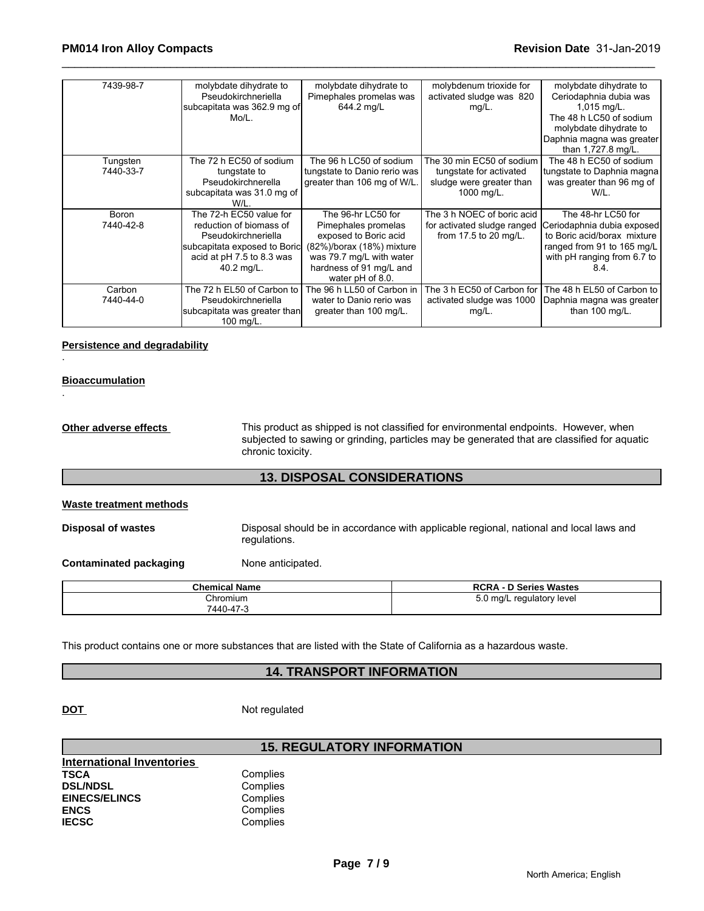| 7439-98-7             | molybdate dihydrate to<br>Pseudokirchneriella<br>subcapitata was 362.9 mg of<br>Mo/L.                                                                | molybdate dihydrate to<br>Pimephales promelas was<br>644.2 mg/L                                                                                                            | molybdenum trioxide for<br>activated sludge was 820<br>$mg/L$ .                                | molybdate dihydrate to<br>Ceriodaphnia dubia was<br>$1,015$ mg/L.<br>The 48 h LC50 of sodium<br>molybdate dihydrate to<br>Daphnia magna was greater<br>than 1,727.8 mg/L. |
|-----------------------|------------------------------------------------------------------------------------------------------------------------------------------------------|----------------------------------------------------------------------------------------------------------------------------------------------------------------------------|------------------------------------------------------------------------------------------------|---------------------------------------------------------------------------------------------------------------------------------------------------------------------------|
| Tungsten<br>7440-33-7 | The 72 h EC50 of sodium<br>tungstate to<br>Pseudokirchnerella<br>subcapitata was 31.0 mg of<br>W/L.                                                  | The 96 h LC50 of sodium<br>tungstate to Danio rerio was<br>greater than 106 mg of W/L.                                                                                     | The 30 min EC50 of sodium<br>tungstate for activated<br>sludge were greater than<br>1000 mg/L. | The 48 h EC50 of sodium<br>tungstate to Daphnia magna<br>was greater than 96 mg of<br>W/L.                                                                                |
| Boron<br>7440-42-8    | The 72-h EC50 value for<br>reduction of biomass of<br>Pseudokirchneriella<br>subcapitata exposed to Boric<br>acid at pH 7.5 to 8.3 was<br>40.2 mg/L. | The 96-hr LC50 for<br>Pimephales promelas<br>exposed to Boric acid<br>(82%)/borax (18%) mixture<br>was 79.7 mg/L with water<br>hardness of 91 mg/L and<br>water pH of 8.0. | The 3 h NOEC of boric acid<br>for activated sludge ranged<br>from 17.5 to 20 mg/L.             | The 48-hr LC50 for<br>Ceriodaphnia dubia exposed<br>to Boric acid/borax mixture<br>ranged from 91 to 165 mg/L<br>with pH ranging from 6.7 to<br>8.4.                      |
| Carbon<br>7440-44-0   | The 72 h EL50 of Carbon to<br>Pseudokirchneriella<br>subcapitata was greater than<br>100 mg/L.                                                       | The 96 h LL50 of Carbon in<br>water to Danio rerio was<br>greater than 100 mg/L.                                                                                           | The 3 h EC50 of Carbon for<br>activated sludge was 1000<br>$mg/L$ .                            | The 48 h EL50 of Carbon to<br>Daphnia magna was greater<br>than 100 mg/L.                                                                                                 |

**Persistence and degradability**

### **Bioaccumulation**

.

.

**Other adverse effects** This product as shipped is not classified for environmental endpoints. However, when subjected to sawing or grinding, particles may be generated that are classified for aquatic chronic toxicity.

# **13. DISPOSAL CONSIDERATIONS**

### **Waste treatment methods**

**Disposal of wastes Disposal should be in accordance with applicable regional, national and local laws and <b>Disposal should be in accordance with applicable regional, national and local laws and** regulations.

**Contaminated packaging Mone anticipated.** 

**Chemical Name RCRA - D Series Wastes** Chromium 7440-47-3 5.0 mg/L regulatory level

This product contains one or more substances that are listed with the State of California as a hazardous waste.

# **14. TRANSPORT INFORMATION**

**15. REGULATORY INFORMATION**

**DOT** Not regulated

| International Inventories |          |
|---------------------------|----------|
| TSCA                      | Complies |
| <b>DSL/NDSL</b>           | Complies |
| <b>EINECS/ELINCS</b>      | Complies |
| ENCS                      | Complies |
| <b>IECSC</b>              | Complies |
|                           |          |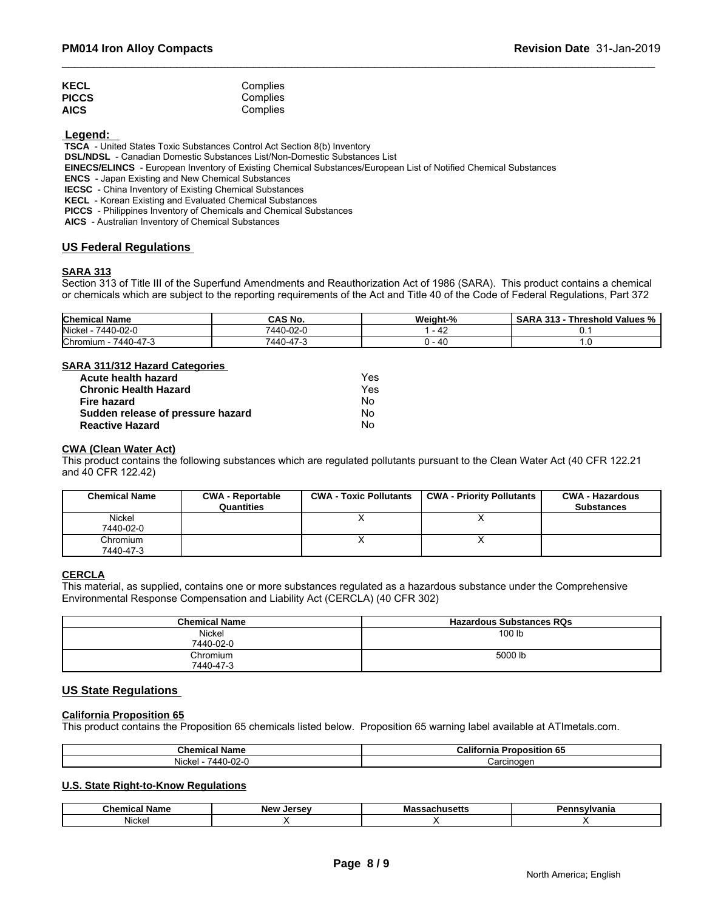| <b>KECL</b>  | Complies |  |
|--------------|----------|--|
| <b>PICCS</b> | Complies |  |
| <b>AICS</b>  | Complies |  |

 **Legend:** 

 **TSCA** - United States Toxic Substances Control Act Section 8(b) Inventory

 **DSL/NDSL** - Canadian Domestic Substances List/Non-Domestic Substances List

 **EINECS/ELINCS** - European Inventory of Existing Chemical Substances/European List of Notified Chemical Substances

 **ENCS** - Japan Existing and New Chemical Substances

 **IECSC** - China Inventory of Existing Chemical Substances

 **KECL** - Korean Existing and Evaluated Chemical Substances

 **PICCS** - Philippines Inventory of Chemicals and Chemical Substances

 **AICS** - Australian Inventory of Chemical Substances

### **US Federal Regulations**

### **SARA 313**

Section 313 of Title III of the Superfund Amendments and Reauthorization Act of 1986 (SARA). This product contains a chemical or chemicals which are subject to the reporting requirements of the Act and Title 40 of the Code of Federal Regulations, Part 372

| <b>Chemical Name</b>            | <b>CAS No.</b>                         | Weight-%<br>$\sim$ 0.1 | .<br>$\sim$ $\sim$ $\sim$<br>242<br>`hreshold<br>' Values %<br>SARA<br>n<br>د ۱ ت |
|---------------------------------|----------------------------------------|------------------------|-----------------------------------------------------------------------------------|
| Nickel<br>7440-02-∪             | 7440-02-Ⴑ                              | - 4                    |                                                                                   |
| $\sim$<br>Chromium<br>--7440-47 | $\rightarrow$<br>7440<br>. +U-4<br>$-$ | - 40                   |                                                                                   |

### **SARA 311/312 Hazard Categories**

| Acute health hazard               | Yes |  |
|-----------------------------------|-----|--|
| <b>Chronic Health Hazard</b>      | Yes |  |
| Fire hazard                       | Nο  |  |
| Sudden release of pressure hazard | Nο  |  |
| <b>Reactive Hazard</b>            | No  |  |

### **CWA (Clean Water Act)**

This product contains the following substances which are regulated pollutants pursuant to the Clean Water Act (40 CFR 122.21 and 40 CFR 122.42)

| <b>Chemical Name</b>  | <b>CWA - Reportable</b><br>Quantities | <b>CWA - Toxic Pollutants</b> | <b>CWA - Priority Pollutants</b> | <b>CWA - Hazardous</b><br><b>Substances</b> |
|-----------------------|---------------------------------------|-------------------------------|----------------------------------|---------------------------------------------|
| Nickel<br>7440-02-0   |                                       |                               |                                  |                                             |
| Chromium<br>7440-47-3 |                                       |                               |                                  |                                             |

### **CERCLA**

This material, as supplied, contains one or more substances regulated as a hazardous substance under the Comprehensive Environmental Response Compensation and Liability Act (CERCLA) (40 CFR 302)

| <b>Chemical Name</b> | <b>Hazardous Substances RQs</b> |
|----------------------|---------------------------------|
| Nickel               | 100 lb                          |
| 7440-02-0            |                                 |
| Chromium             | 5000 lb                         |
| 7440-47-3            |                                 |

# **US State Regulations**

### **California Proposition 65**

This product contains the Proposition 65 chemicals listed below. Proposition 65 warning label available at ATImetals.com.

| Chemical Name                                 | California<br>- -<br>'roposition 65 |
|-----------------------------------------------|-------------------------------------|
| .<br>$\sim$<br>'440<br><b>Nicke</b><br>U-UZ-1 | Carcinoger                          |

### **U.S. State Right-to-Know Regulations**

| м.<br>Name<br>Chemical | <b>Now</b><br><b>Larcay</b><br>י יי<br>. | - Massau kustus | vania<br> |
|------------------------|------------------------------------------|-----------------|-----------|
| Nickel                 |                                          |                 |           |